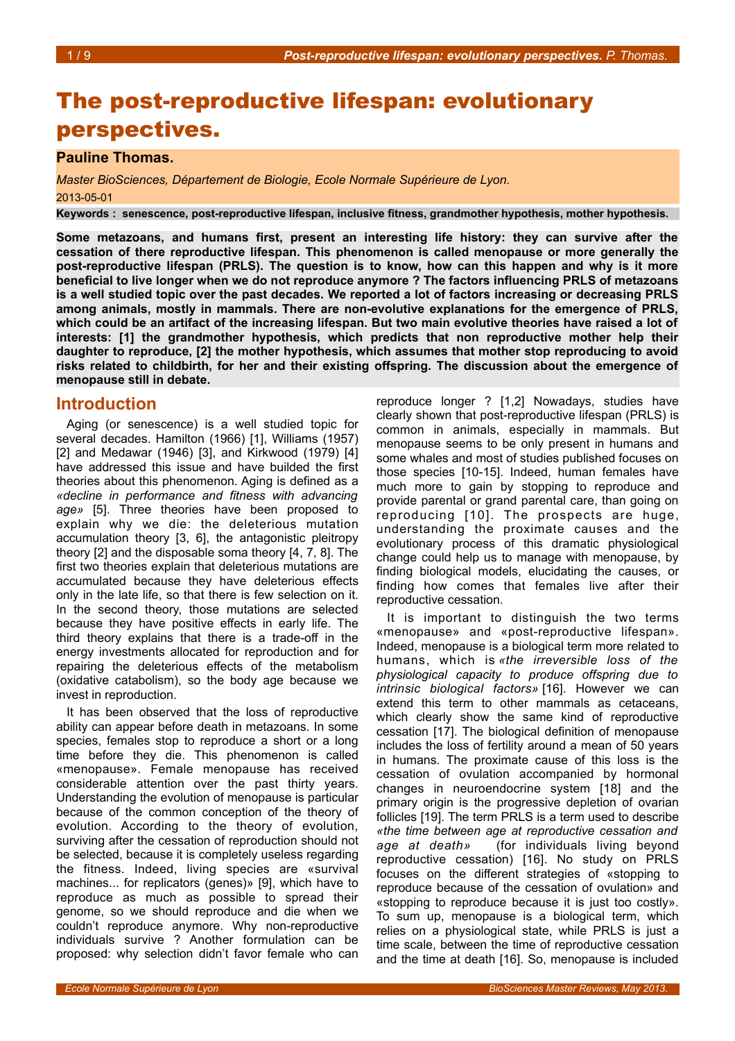# The post-reproductive lifespan: evolutionary perspectives.

#### **Pauline Thomas.**

*Master BioSciences, Département de Biologie, Ecole Normale Supérieure de Lyon.* 2013-05-01

**Keywords : senescence, post-reproductive lifespan, inclusive fitness, grandmother hypothesis, mother hypothesis.**

**Some metazoans, and humans first, present an interesting life history: they can survive after the cessation of there reproductive lifespan. This phenomenon is called menopause or more generally the post-reproductive lifespan (PRLS). The question is to know, how can this happen and why is it more beneficial to live longer when we do not reproduce anymore ? The factors influencing PRLS of metazoans is a well studied topic over the past decades. We reported a lot of factors increasing or decreasing PRLS among animals, mostly in mammals. There are non-evolutive explanations for the emergence of PRLS, which could be an artifact of the increasing lifespan. But two main evolutive theories have raised a lot of interests: [1] the grandmother hypothesis, which predicts that non reproductive mother help their daughter to reproduce, [2] the mother hypothesis, which assumes that mother stop reproducing to avoid risks related to childbirth, for her and their existing offspring. The discussion about the emergence of menopause still in debate.**

#### **Introduction**

Aging (or senescence) is a well studied topic for several decades. Hamilton (1966) [1], Williams (1957) [2] and Medawar (1946) [3], and Kirkwood (1979) [4] have addressed this issue and have builded the first theories about this phenomenon. Aging is defined as a *«decline in performance and fitness with advancing age»* [5]. Three theories have been proposed to explain why we die: the deleterious mutation accumulation theory [3, 6], the antagonistic pleitropy theory [2] and the disposable soma theory [4, 7, 8]. The first two theories explain that deleterious mutations are accumulated because they have deleterious effects only in the late life, so that there is few selection on it. In the second theory, those mutations are selected because they have positive effects in early life. The third theory explains that there is a trade-off in the energy investments allocated for reproduction and for repairing the deleterious effects of the metabolism (oxidative catabolism), so the body age because we invest in reproduction.

It has been observed that the loss of reproductive ability can appear before death in metazoans. In some species, females stop to reproduce a short or a long time before they die. This phenomenon is called «menopause». Female menopause has received considerable attention over the past thirty years. Understanding the evolution of menopause is particular because of the common conception of the theory of evolution. According to the theory of evolution, surviving after the cessation of reproduction should not be selected, because it is completely useless regarding the fitness. Indeed, living species are «survival machines... for replicators (genes)» [9], which have to reproduce as much as possible to spread their genome, so we should reproduce and die when we couldn't reproduce anymore. Why non-reproductive individuals survive ? Another formulation can be proposed: why selection didn't favor female who can

reproduce longer ? [1,2] Nowadays, studies have clearly shown that post-reproductive lifespan (PRLS) is common in animals, especially in mammals. But menopause seems to be only present in humans and some whales and most of studies published focuses on those species [10-15]. Indeed, human females have much more to gain by stopping to reproduce and provide parental or grand parental care, than going on reproducing [10]. The prospects are huge, understanding the proximate causes and the evolutionary process of this dramatic physiological change could help us to manage with menopause, by finding biological models, elucidating the causes, or finding how comes that females live after their reproductive cessation.

It is important to distinguish the two terms «menopause» and «post-reproductive lifespan». Indeed, menopause is a biological term more related to humans, which is *«the irreversible loss of the physiological capacity to produce offspring due to intrinsic biological factors»* [16]. However we can extend this term to other mammals as cetaceans, which clearly show the same kind of reproductive cessation [17]. The biological definition of menopause includes the loss of fertility around a mean of 50 years in humans. The proximate cause of this loss is the cessation of ovulation accompanied by hormonal changes in neuroendocrine system [18] and the primary origin is the progressive depletion of ovarian follicles [19]. The term PRLS is a term used to describe *«the time between age at reproductive cessation and age at death»* (for individuals living beyond reproductive cessation) [16]. No study on PRLS focuses on the different strategies of «stopping to reproduce because of the cessation of ovulation» and «stopping to reproduce because it is just too costly». To sum up, menopause is a biological term, which relies on a physiological state, while PRLS is just a time scale, between the time of reproductive cessation and the time at death [16]. So, menopause is included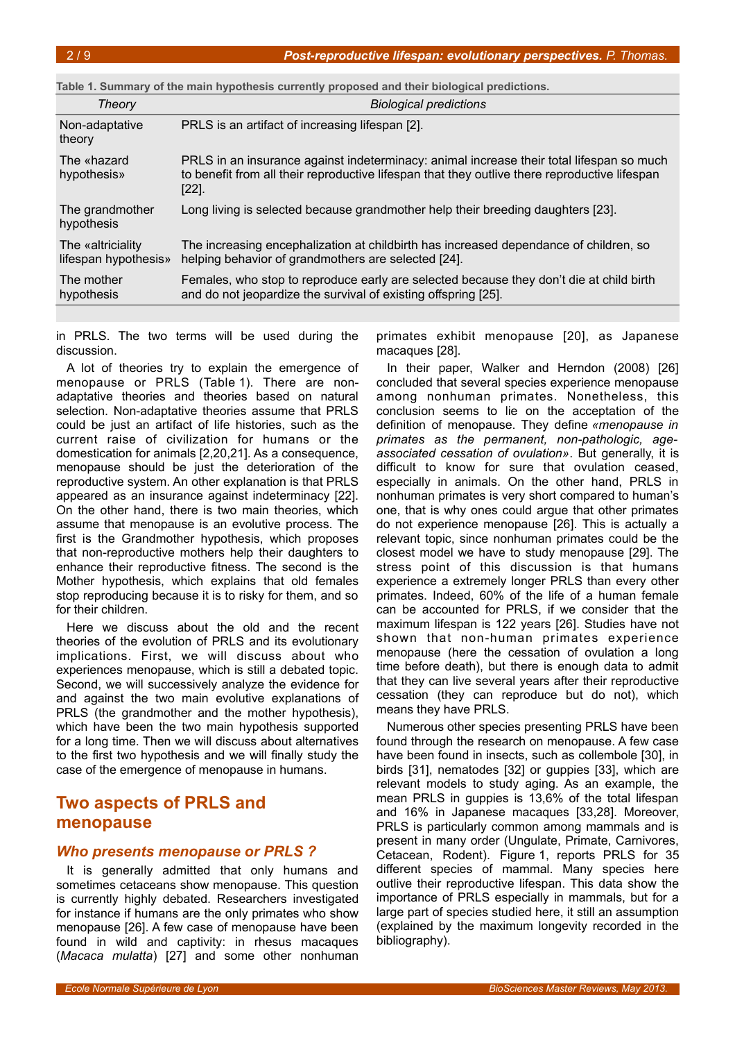<span id="page-1-0"></span>

| Table 1. Summary of the main hypothesis currently proposed and their biological predictions. |                                                                                                                                                                                                       |  |
|----------------------------------------------------------------------------------------------|-------------------------------------------------------------------------------------------------------------------------------------------------------------------------------------------------------|--|
| Theory                                                                                       | <b>Biological predictions</b>                                                                                                                                                                         |  |
| Non-adaptative<br>theory                                                                     | PRLS is an artifact of increasing lifespan [2].                                                                                                                                                       |  |
| The «hazard<br>hypothesis»                                                                   | PRLS in an insurance against indeterminacy: animal increase their total lifespan so much<br>to benefit from all their reproductive lifespan that they outlive there reproductive lifespan<br>$[22]$ . |  |
| The grandmother<br>hypothesis                                                                | Long living is selected because grandmother help their breeding daughters [23].                                                                                                                       |  |
| The «altriciality<br>lifespan hypothesis»                                                    | The increasing encephalization at childbirth has increased dependance of children, so<br>helping behavior of grandmothers are selected [24].                                                          |  |
| The mother<br>hypothesis                                                                     | Females, who stop to reproduce early are selected because they don't die at child birth<br>and do not jeopardize the survival of existing offspring [25].                                             |  |

in PRLS. The two terms will be used during the discussion.

A lot of theories try to explain the emergence of menopause or PRLS (Table [1\)](#page-1-0). There are nonadaptative theories and theories based on natural selection. Non-adaptative theories assume that PRLS could be just an artifact of life histories, such as the current raise of civilization for humans or the domestication for animals [2,20,21]. As a consequence, menopause should be just the deterioration of the reproductive system. An other explanation is that PRLS appeared as an insurance against indeterminacy [22]. On the other hand, there is two main theories, which assume that menopause is an evolutive process. The first is the Grandmother hypothesis, which proposes that non-reproductive mothers help their daughters to enhance their reproductive fitness. The second is the Mother hypothesis, which explains that old females stop reproducing because it is to risky for them, and so for their children.

Here we discuss about the old and the recent theories of the evolution of PRLS and its evolutionary implications. First, we will discuss about who experiences menopause, which is still a debated topic. Second, we will successively analyze the evidence for and against the two main evolutive explanations of PRLS (the grandmother and the mother hypothesis), which have been the two main hypothesis supported for a long time. Then we will discuss about alternatives to the first two hypothesis and we will finally study the case of the emergence of menopause in humans.

# **Two aspects of PRLS and menopause**

#### *Who presents menopause or PRLS ?*

It is generally admitted that only humans and sometimes cetaceans show menopause. This question is currently highly debated. Researchers investigated for instance if humans are the only primates who show menopause [26]. A few case of menopause have been found in wild and captivity: in rhesus macaques (*Macaca mulatta*) [27] and some other nonhuman

primates exhibit menopause [20], as Japanese macaques [28].

In their paper, Walker and Herndon (2008) [26] concluded that several species experience menopause among nonhuman primates. Nonetheless, this conclusion seems to lie on the acceptation of the definition of menopause. They define *«menopause in primates as the permanent, non-pathologic, ageassociated cessation of ovulation»*. But generally, it is difficult to know for sure that ovulation ceased, especially in animals. On the other hand, PRLS in nonhuman primates is very short compared to human's one, that is why ones could argue that other primates do not experience menopause [26]. This is actually a relevant topic, since nonhuman primates could be the closest model we have to study menopause [29]. The stress point of this discussion is that humans experience a extremely longer PRLS than every other primates. Indeed, 60% of the life of a human female can be accounted for PRLS, if we consider that the maximum lifespan is 122 years [26]. Studies have not shown that non-human primates experience menopause (here the cessation of ovulation a long time before death), but there is enough data to admit that they can live several years after their reproductive cessation (they can reproduce but do not), which means they have PRLS.

Numerous other species presenting PRLS have been found through the research on menopause. A few case have been found in insects, such as collembole [30], in birds [31], nematodes [32] or guppies [33], which are relevant models to study aging. As an example, the mean PRLS in guppies is 13,6% of the total lifespan and 16% in Japanese macaques [33,28]. Moreover, PRLS is particularly common among mammals and is present in many order (Ungulate, Primate, Carnivores, Cetacean, Rodent). Figure [1,](#page-2-0) reports PRLS for 35 different species of mammal. Many species here outlive their reproductive lifespan. This data show the importance of PRLS especially in mammals, but for a large part of species studied here, it still an assumption (explained by the maximum longevity recorded in the bibliography).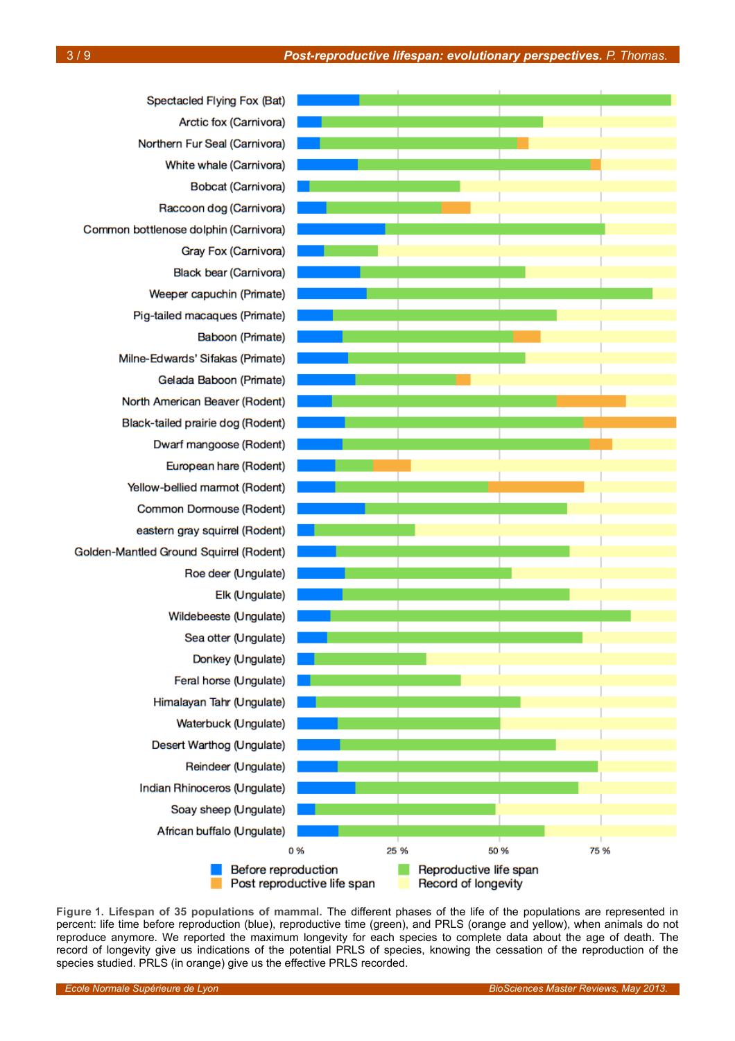

<span id="page-2-0"></span>**Figure 1. Lifespan of 35 populations of mammal.** The different phases of the life of the populations are represented in percent: life time before reproduction (blue), reproductive time (green), and PRLS (orange and yellow), when animals do not reproduce anymore. We reported the maximum longevity for each species to complete data about the age of death. The record of longevity give us indications of the potential PRLS of species, knowing the cessation of the reproduction of the species studied. PRLS (in orange) give us the effective PRLS recorded.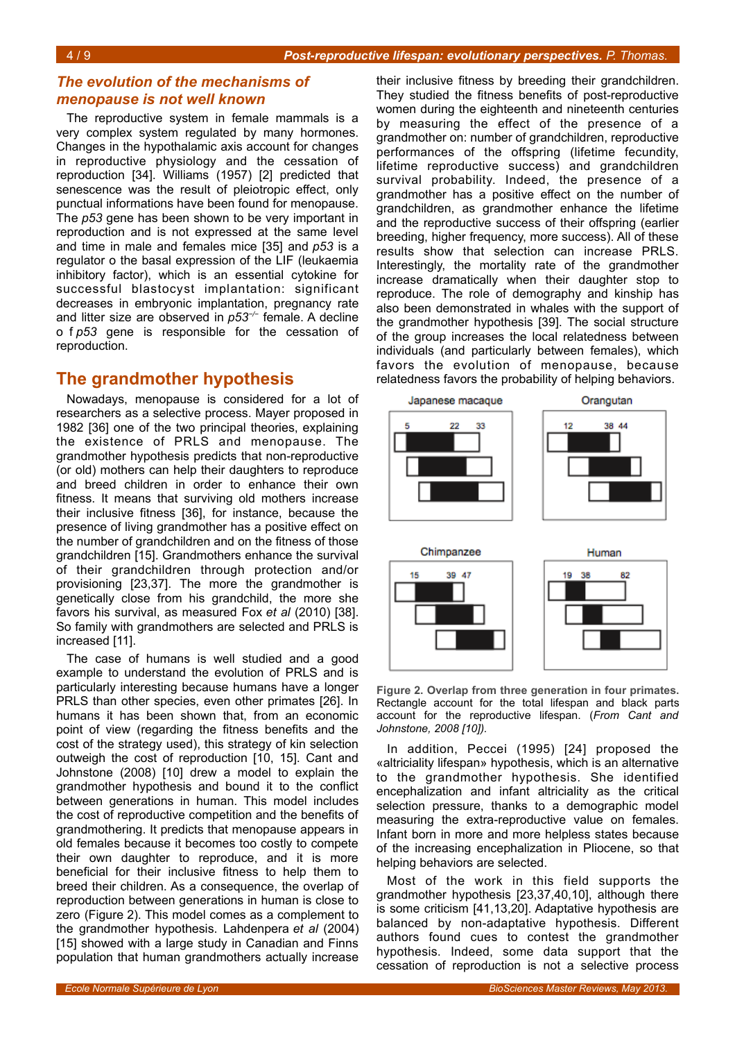#### *The evolution of the mechanisms of menopause is not well known*

The reproductive system in female mammals is a very complex system regulated by many hormones. Changes in the hypothalamic axis account for changes in reproductive physiology and the cessation of reproduction [34]. Williams (1957) [2] predicted that senescence was the result of pleiotropic effect, only punctual informations have been found for menopause. The *p53* gene has been shown to be very important in reproduction and is not expressed at the same level and time in male and females mice [35] and *p53* is a regulator o the basal expression of the LIF (leukaemia inhibitory factor), which is an essential cytokine for successful blastocyst implantation: significant decreases in embryonic implantation, pregnancy rate and litter size are observed in *p53−/−* female. A decline o f *p53* gene is responsible for the cessation of reproduction.

## **The grandmother hypothesis**

Nowadays, menopause is considered for a lot of researchers as a selective process. Mayer proposed in 1982 [36] one of the two principal theories, explaining the existence of PRLS and menopause. The grandmother hypothesis predicts that non-reproductive (or old) mothers can help their daughters to reproduce and breed children in order to enhance their own fitness. It means that surviving old mothers increase their inclusive fitness [36], for instance, because the presence of living grandmother has a positive effect on the number of grandchildren and on the fitness of those grandchildren [15]. Grandmothers enhance the survival of their grandchildren through protection and/or provisioning [23,37]. The more the grandmother is genetically close from his grandchild, the more she favors his survival, as measured Fox *et al* (2010) [38]. So family with grandmothers are selected and PRLS is increased [11].

The case of humans is well studied and a good example to understand the evolution of PRLS and is particularly interesting because humans have a longer PRLS than other species, even other primates [26]. In humans it has been shown that, from an economic point of view (regarding the fitness benefits and the cost of the strategy used), this strategy of kin selection outweigh the cost of reproduction [10, 15]. Cant and Johnstone (2008) [10] drew a model to explain the grandmother hypothesis and bound it to the conflict between generations in human. This model includes the cost of reproductive competition and the benefits of grandmothering. It predicts that menopause appears in old females because it becomes too costly to compete their own daughter to reproduce, and it is more beneficial for their inclusive fitness to help them to breed their children. As a consequence, the overlap of reproduction between generations in human is close to zero (Figure [2\)](#page-3-0). This model comes as a complement to the grandmother hypothesis. Lahdenpera *et al* (2004) [15] showed with a large study in Canadian and Finns population that human grandmothers actually increase

their inclusive fitness by breeding their grandchildren. They studied the fitness benefits of post-reproductive women during the eighteenth and nineteenth centuries by measuring the effect of the presence of a grandmother on: number of grandchildren, reproductive performances of the offspring (lifetime fecundity, lifetime reproductive success) and grandchildren survival probability. Indeed, the presence of a grandmother has a positive effect on the number of grandchildren, as grandmother enhance the lifetime and the reproductive success of their offspring (earlier breeding, higher frequency, more success). All of these results show that selection can increase PRLS. Interestingly, the mortality rate of the grandmother increase dramatically when their daughter stop to reproduce. The role of demography and kinship has also been demonstrated in whales with the support of the grandmother hypothesis [39]. The social structure of the group increases the local relatedness between individuals (and particularly between females), which favors the evolution of menopause, because relatedness favors the probability of helping behaviors.



<span id="page-3-0"></span>**Figure 2. Overlap from three generation in four primates.** Rectangle account for the total lifespan and black parts account for the reproductive lifespan. (*From Cant and Johnstone, 2008 [10]).*

In addition, Peccei (1995) [24] proposed the «altriciality lifespan» hypothesis, which is an alternative to the grandmother hypothesis. She identified encephalization and infant altriciality as the critical selection pressure, thanks to a demographic model measuring the extra-reproductive value on females. Infant born in more and more helpless states because of the increasing encephalization in Pliocene, so that helping behaviors are selected.

Most of the work in this field supports the grandmother hypothesis [23,37,40,10], although there is some criticism [41,13,20]. Adaptative hypothesis are balanced by non-adaptative hypothesis. Different authors found cues to contest the grandmother hypothesis. Indeed, some data support that the cessation of reproduction is not a selective process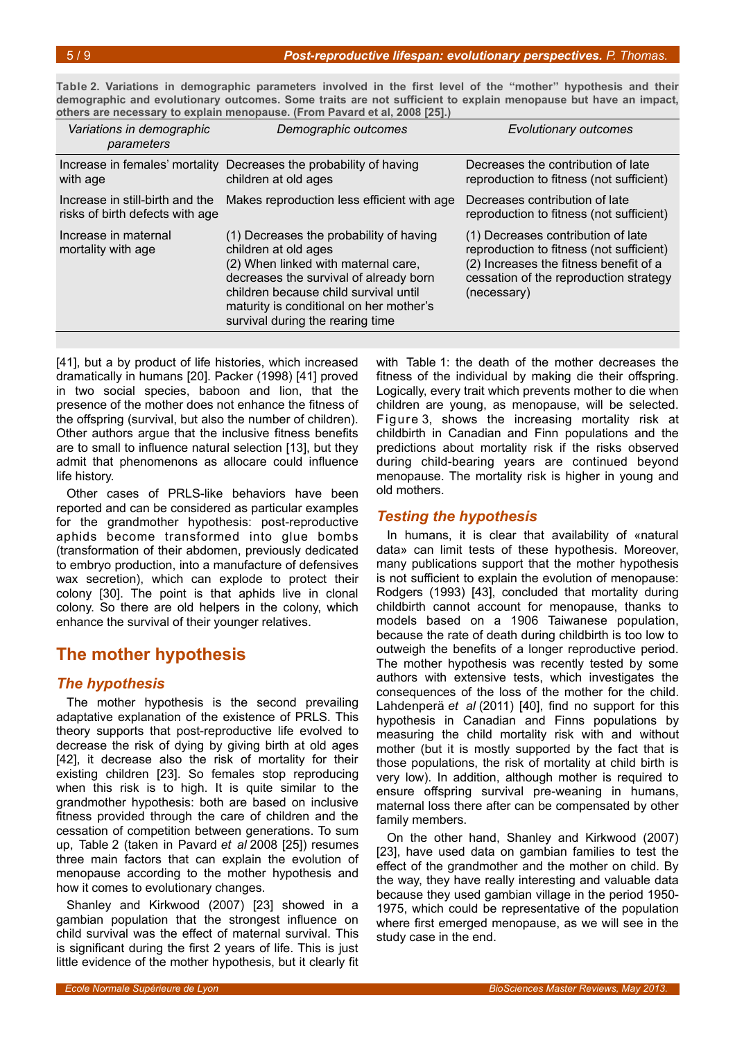<span id="page-4-0"></span>**Table 2. Variations in demographic parameters involved in the first level of the ''mother'' hypothesis and their demographic and evolutionary outcomes. Some traits are not sufficient to explain menopause but have an impact, others are necessary to explain menopause. (From Pavard et al, 2008 [25].)**

| Variations in demographic<br>parameters                            | Demographic outcomes                                                                                                                                                                                                                                                     | <b>Evolutionary outcomes</b>                                                                                                                                                      |
|--------------------------------------------------------------------|--------------------------------------------------------------------------------------------------------------------------------------------------------------------------------------------------------------------------------------------------------------------------|-----------------------------------------------------------------------------------------------------------------------------------------------------------------------------------|
| Increase in females' mortality<br>with age                         | Decreases the probability of having<br>children at old ages                                                                                                                                                                                                              | Decreases the contribution of late<br>reproduction to fitness (not sufficient)                                                                                                    |
| Increase in still-birth and the<br>risks of birth defects with age | Makes reproduction less efficient with age                                                                                                                                                                                                                               | Decreases contribution of late<br>reproduction to fitness (not sufficient)                                                                                                        |
| Increase in maternal<br>mortality with age                         | (1) Decreases the probability of having<br>children at old ages<br>(2) When linked with maternal care,<br>decreases the survival of already born<br>children because child survival until<br>maturity is conditional on her mother's<br>survival during the rearing time | (1) Decreases contribution of late<br>reproduction to fitness (not sufficient)<br>(2) Increases the fitness benefit of a<br>cessation of the reproduction strategy<br>(necessary) |

[41], but a by product of life histories, which increased dramatically in humans [20]. Packer (1998) [41] proved in two social species, baboon and lion, that the presence of the mother does not enhance the fitness of the offspring (survival, but also the number of children). Other authors argue that the inclusive fitness benefits are to small to influence natural selection [13], but they admit that phenomenons as allocare could influence life history.

Other cases of PRLS-like behaviors have been reported and can be considered as particular examples for the grandmother hypothesis: post-reproductive aphids become transformed into glue bombs (transformation of their abdomen, previously dedicated to embryo production, into a manufacture of defensives wax secretion), which can explode to protect their colony [30]. The point is that aphids live in clonal colony. So there are old helpers in the colony, which enhance the survival of their younger relatives.

# **The mother hypothesis**

#### *The hypothesis*

The mother hypothesis is the second prevailing adaptative explanation of the existence of PRLS. This theory supports that post-reproductive life evolved to decrease the risk of dying by giving birth at old ages [42], it decrease also the risk of mortality for their existing children [23]. So females stop reproducing when this risk is to high. It is quite similar to the grandmother hypothesis: both are based on inclusive fitness provided through the care of children and the cessation of competition between generations. To sum up, Table [2](#page-4-0) (taken in Pavard *et al* 2008 [25]) resumes three main factors that can explain the evolution of menopause according to the mother hypothesis and how it comes to evolutionary changes.

Shanley and Kirkwood (2007) [23] showed in a gambian population that the strongest influence on child survival was the effect of maternal survival. This is significant during the first 2 years of life. This is just little evidence of the mother hypothesis, but it clearly fit

with Table [1:](#page-1-0) the death of the mother decreases the fitness of the individual by making die their offspring. Logically, every trait which prevents mother to die when children are young, as menopause, will be selected. Figure [3,](#page-5-0) shows the increasing mortality risk at childbirth in Canadian and Finn populations and the predictions about mortality risk if the risks observed during child-bearing years are continued beyond menopause. The mortality risk is higher in young and old mothers.

#### *Testing the hypothesis*

In humans, it is clear that availability of «natural data» can limit tests of these hypothesis. Moreover, many publications support that the mother hypothesis is not sufficient to explain the evolution of menopause: Rodgers (1993) [43], concluded that mortality during childbirth cannot account for menopause, thanks to models based on a 1906 Taiwanese population, because the rate of death during childbirth is too low to outweigh the benefits of a longer reproductive period. The mother hypothesis was recently tested by some authors with extensive tests, which investigates the consequences of the loss of the mother for the child. Lahdenperä et al (2011) [40], find no support for this hypothesis in Canadian and Finns populations by measuring the child mortality risk with and without mother (but it is mostly supported by the fact that is those populations, the risk of mortality at child birth is very low). In addition, although mother is required to ensure offspring survival pre-weaning in humans, maternal loss there after can be compensated by other family members.

On the other hand, Shanley and Kirkwood (2007) [23], have used data on gambian families to test the effect of the grandmother and the mother on child. By the way, they have really interesting and valuable data because they used gambian village in the period 1950- 1975, which could be representative of the population where first emerged menopause, as we will see in the study case in the end.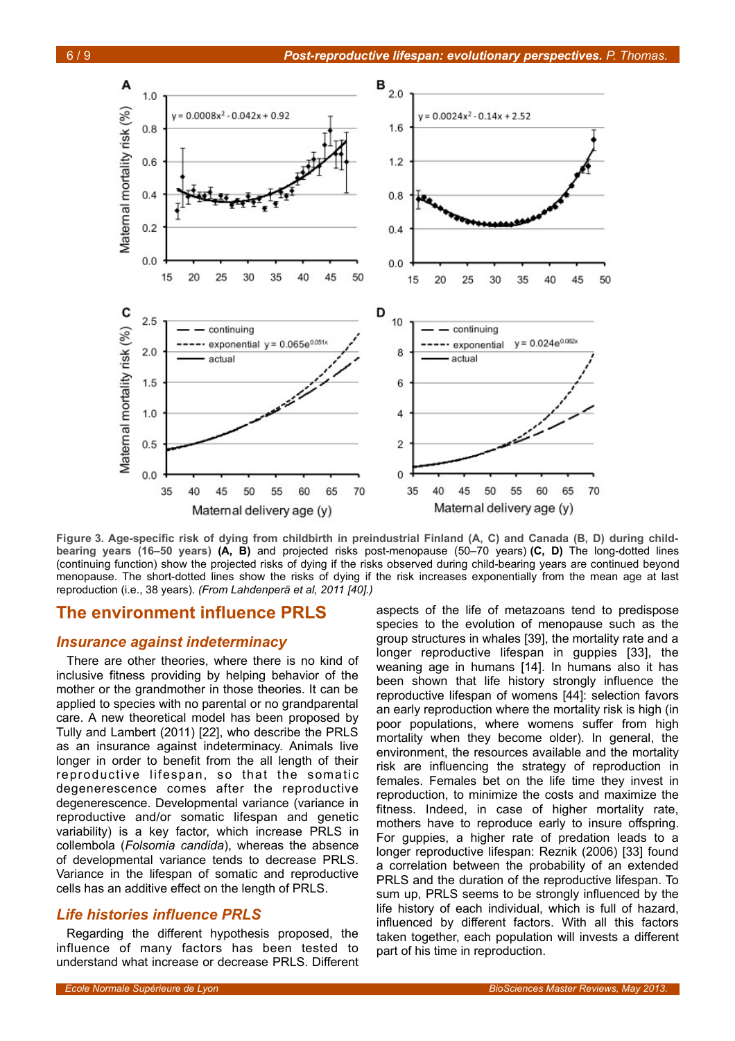

<span id="page-5-0"></span>**Figure 3. Age-specific risk of dying from childbirth in preindustrial Finland (A, C) and Canada (B, D) during childbearing years (16–50 years) (A, B)** and projected risks post-menopause (50–70 years) **(C, D)** The long-dotted lines (continuing function) show the projected risks of dying if the risks observed during child-bearing years are continued beyond menopause. The short-dotted lines show the risks of dying if the risk increases exponentially from the mean age at last reproduction (i.e., 38 years). *(From Lahdenpera et al, 2011 [40].)*

#### **The environment influence PRLS**

#### *Insurance against indeterminacy*

There are other theories, where there is no kind of inclusive fitness providing by helping behavior of the mother or the grandmother in those theories. It can be applied to species with no parental or no grandparental care. A new theoretical model has been proposed by Tully and Lambert (2011) [22], who describe the PRLS as an insurance against indeterminacy. Animals live longer in order to benefit from the all length of their reproductive lifespan, so that the somatic degenerescence comes after the reproductive degenerescence. Developmental variance (variance in reproductive and/or somatic lifespan and genetic variability) is a key factor, which increase PRLS in collembola (*Folsomia candida*), whereas the absence of developmental variance tends to decrease PRLS. Variance in the lifespan of somatic and reproductive cells has an additive effect on the length of PRLS.

#### *Life histories influence PRLS*

Regarding the different hypothesis proposed, the influence of many factors has been tested to understand what increase or decrease PRLS. Different

aspects of the life of metazoans tend to predispose species to the evolution of menopause such as the group structures in whales [39], the mortality rate and a longer reproductive lifespan in guppies [33], the weaning age in humans [14]. In humans also it has been shown that life history strongly influence the reproductive lifespan of womens [44]: selection favors an early reproduction where the mortality risk is high (in poor populations, where womens suffer from high mortality when they become older). In general, the environment, the resources available and the mortality risk are influencing the strategy of reproduction in females. Females bet on the life time they invest in reproduction, to minimize the costs and maximize the fitness. Indeed, in case of higher mortality rate, mothers have to reproduce early to insure offspring. For guppies, a higher rate of predation leads to a longer reproductive lifespan: Reznik (2006) [33] found a correlation between the probability of an extended PRLS and the duration of the reproductive lifespan. To sum up, PRLS seems to be strongly influenced by the life history of each individual, which is full of hazard, influenced by different factors. With all this factors taken together, each population will invests a different part of his time in reproduction.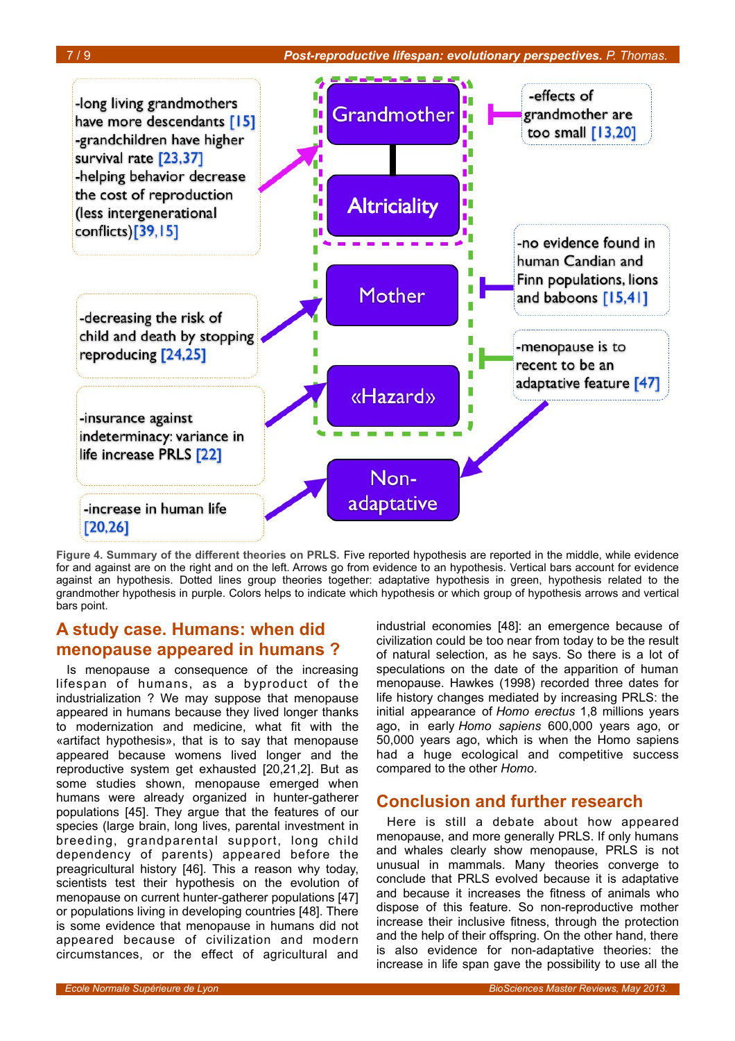

<span id="page-6-0"></span>**Figure 4. Summary of the different theories on PRLS.** Five reported hypothesis are reported in the middle, while evidence for and against are on the right and on the left. Arrows go from evidence to an hypothesis. Vertical bars account for evidence against an hypothesis. Dotted lines group theories together: adaptative hypothesis in green, hypothesis related to the grandmother hypothesis in purple. Colors helps to indicate which hypothesis or which group of hypothesis arrows and vertical bars point.

# **A study case. Humans: when did menopause appeared in humans ?**

Is menopause a consequence of the increasing lifespan of humans, as a byproduct of the industrialization ? We may suppose that menopause appeared in humans because they lived longer thanks to modernization and medicine, what fit with the «artifact hypothesis», that is to say that menopause appeared because womens lived longer and the reproductive system get exhausted [20,21,2]. But as some studies shown, menopause emerged when humans were already organized in hunter-gatherer populations [45]. They argue that the features of our species (large brain, long lives, parental investment in breeding, grandparental support, long child dependency of parents) appeared before the preagricultural history [46]. This a reason why today, scientists test their hypothesis on the evolution of menopause on current hunter-gatherer populations [47] or populations living in developing countries [48]. There is some evidence that menopause in humans did not appeared because of civilization and modern circumstances, or the effect of agricultural and

industrial economies [48]: an emergence because of civilization could be too near from today to be the result of natural selection, as he says. So there is a lot of speculations on the date of the apparition of human menopause. Hawkes (1998) recorded three dates for life history changes mediated by increasing PRLS: the initial appearance of *Homo erectus* 1,8 millions years ago, in early *Homo sapiens* 600,000 years ago, or 50,000 years ago, which is when the Homo sapiens had a huge ecological and competitive success compared to the other *Homo*.

### **Conclusion and further research**

Here is still a debate about how appeared menopause, and more generally PRLS. If only humans and whales clearly show menopause, PRLS is not unusual in mammals. Many theories converge to conclude that PRLS evolved because it is adaptative and because it increases the fitness of animals who dispose of this feature. So non-reproductive mother increase their inclusive fitness, through the protection and the help of their offspring. On the other hand, there is also evidence for non-adaptative theories: the increase in life span gave the possibility to use all the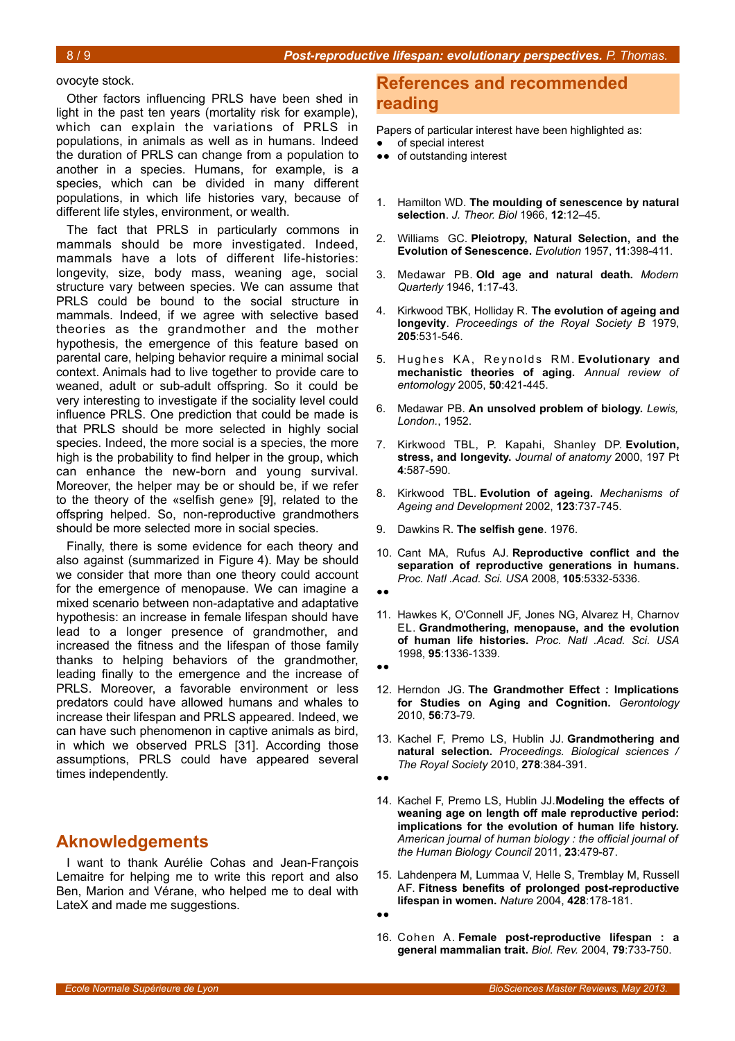#### ovocyte stock.

Other factors influencing PRLS have been shed in light in the past ten years (mortality risk for example), which can explain the variations of PRLS in populations, in animals as well as in humans. Indeed the duration of PRLS can change from a population to another in a species. Humans, for example, is a species, which can be divided in many different populations, in which life histories vary, because of different life styles, environment, or wealth.

The fact that PRLS in particularly commons in mammals should be more investigated. Indeed, mammals have a lots of different life-histories: longevity, size, body mass, weaning age, social structure vary between species. We can assume that PRLS could be bound to the social structure in mammals. Indeed, if we agree with selective based theories as the grandmother and the mother hypothesis, the emergence of this feature based on parental care, helping behavior require a minimal social context. Animals had to live together to provide care to weaned, adult or sub-adult offspring. So it could be very interesting to investigate if the sociality level could influence PRLS. One prediction that could be made is that PRLS should be more selected in highly social species. Indeed, the more social is a species, the more high is the probability to find helper in the group, which can enhance the new-born and young survival. Moreover, the helper may be or should be, if we refer to the theory of the «selfish gene» [9], related to the offspring helped. So, non-reproductive grandmothers should be more selected more in social species.

Finally, there is some evidence for each theory and also against (summarized in Figure [4\)](#page-6-0). May be should we consider that more than one theory could account for the emergence of menopause. We can imagine a mixed scenario between non-adaptative and adaptative hypothesis: an increase in female lifespan should have lead to a longer presence of grandmother, and increased the fitness and the lifespan of those family thanks to helping behaviors of the grandmother, leading finally to the emergence and the increase of PRLS. Moreover, a favorable environment or less predators could have allowed humans and whales to increase their lifespan and PRLS appeared. Indeed, we can have such phenomenon in captive animals as bird, in which we observed PRLS [31]. According those assumptions, PRLS could have appeared several times independently.

#### **Aknowledgements**

I want to thank Aurélie Cohas and Jean-François Lemaitre for helping me to write this report and also Ben, Marion and Vérane, who helped me to deal with LateX and made me suggestions.

#### **References and recommended reading**

Papers of particular interest have been highlighted as:

- of special interest
- ●● of outstanding interest
- 1. Hamilton WD. **The moulding of senescence by natural selection**. *J. Theor. Biol* 1966, **12**:12–45.
- 2. Williams GC. **Pleiotropy, Natural Selection, and the Evolution of Senescence.** *Evolution* 1957, **11**:398-411.
- 3. Medawar PB. **Old age and natural death.** *Modern Quarterly* 1946, **1**:17-43.
- 4. Kirkwood TBK, Holliday R. **The evolution of ageing and longevity**. *Proceedings of the Royal Society B* 1979, **205**:531-546.
- 5. Hughes KA, Reynolds RM. Evolutionary and **mechanistic theories of aging.** *Annual review of entomology* 2005, **50**:421-445.
- 6. Medawar PB. **An unsolved problem of biology.** *Lewis, London.*, 1952.
- 7. Kirkwood TBL, P. Kapahi, Shanley DP. **Evolution, stress, and longevity.** *Journal of anatomy* 2000, 197 Pt **4**:587-590.
- 8. Kirkwood TBL. **Evolution of ageing.** *Mechanisms of Ageing and Development* 2002, **123**:737-745.
- 9. Dawkins R. **The selfish gene**. 1976.
- 10. Cant MA, Rufus AJ. **Reproductive conflict and the separation of reproductive generations in humans.** *Proc. Natl .Acad. Sci. USA* 2008, **105**:5332-5336.
- ●●
- 11. Hawkes K, O'Connell JF, Jones NG, Alvarez H, Charnov EL. **Grandmothering, menopause, and the evolution of human life histories.** *Proc. Natl .Acad. Sci. USA* 1998, **95**:1336-1339.
- ●●
- 12. Herndon JG. **The Grandmother Effect : Implications for Studies on Aging and Cognition.** *Gerontology* 2010, **56**:73-79.
- 13. Kachel F, Premo LS, Hublin JJ. **Grandmothering and natural selection.** *Proceedings. Biological sciences / The Royal Society* 2010, **278**:384-391.
- ●●
- 14. Kachel F, Premo LS, Hublin JJ.**Modeling the effects of weaning age on length off male reproductive period: implications for the evolution of human life history.** *American journal of human biology : the official journal of the Human Biology Council* 2011, **23**:479-87.
- 15. Lahdenpera M, Lummaa V, Helle S, Tremblay M, Russell AF. **Fitness benefits of prolonged post-reproductive lifespan in women.** *Nature* 2004, **428**:178-181.
- ●●
- 16. Cohen A. **Female post-reproductive lifespan : a general mammalian trait.** *Biol. Rev.* 2004, **79**:733-750.